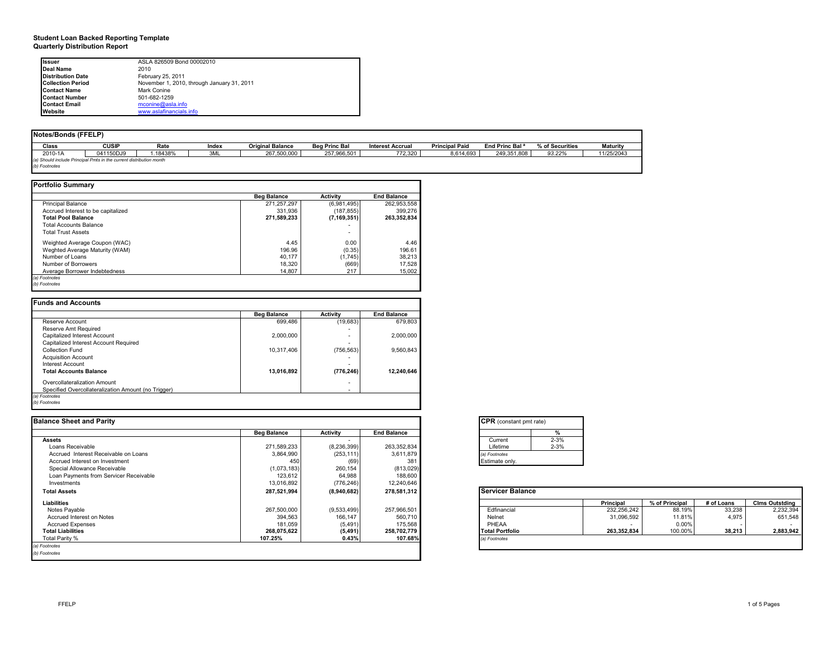#### **Student Loan Backed Reporting Template Quarterly Distribution Report**

| Issuer                   | ASLA 826509 Bond 00002010                  |
|--------------------------|--------------------------------------------|
| Deal Name                | 2010                                       |
| <b>Distribution Date</b> | February 25, 2011                          |
| <b>Collection Period</b> | November 1, 2010, through January 31, 2011 |
| <b>Contact Name</b>      | Mark Conine                                |
| <b>Contact Number</b>    | 501-682-1259                               |
| <b>Contact Email</b>     | mconine@asla.info                          |
| Website                  | www.aslafinancials.info                    |

| <b>Notes/Bonds (FFELP)</b> |                                                                     |          |       |                         |                      |                         |                       |                            |                 |                 |
|----------------------------|---------------------------------------------------------------------|----------|-------|-------------------------|----------------------|-------------------------|-----------------------|----------------------------|-----------------|-----------------|
|                            |                                                                     |          |       |                         |                      |                         |                       |                            |                 |                 |
| Class                      | <b>CUSIP</b>                                                        | Rate     | Index | <b>Original Balance</b> | <b>Beg Princ Bal</b> | <b>Interest Accrual</b> | <b>Principal Paid</b> | End Princ Bal <sup>a</sup> | % of Securities | <b>Maturity</b> |
| 2010-1A                    | 041150DJ9                                                           | i.18438% | 3ML   | 267.500.000             | 257.966.501          | 772.320                 | 8.614.693             | 249.351.808                | 93.22%          | 11/25/2043      |
|                            | (a) Should include Principal Pmts in the current distribution month |          |       |                         |                      |                         |                       |                            |                 |                 |
| (b) Footnotes              |                                                                     |          |       |                         |                      |                         |                       |                            |                 |                 |

٦Ī,

| <b>Portfolio Summary</b> |
|--------------------------|

|                                    | <b>Beg Balance</b> | <b>Activity</b> | <b>End Balance</b> |
|------------------------------------|--------------------|-----------------|--------------------|
| <b>Principal Balance</b>           | 271,257,297        | (6,981,495)     | 262,953,558        |
| Accrued Interest to be capitalized | 331.936            | (187, 855)      | 399.276            |
| <b>Total Pool Balance</b>          | 271,589,233        | (7, 169, 351)   | 263.352.834        |
| <b>Total Accounts Balance</b>      |                    |                 |                    |
| <b>Total Trust Assets</b>          |                    | ۰               |                    |
| Weighted Average Coupon (WAC)      | 4.45               | 0.00            | 4.46               |
| Weghted Average Maturity (WAM)     | 196.96             | (0.35)          | 196.61             |
| Number of Loans                    | 40.177             | (1,745)         | 38,213             |
| Number of Borrowers                | 18.320             | (669)           | 17,528             |
| Average Borrower Indebtedness      | 14,807             | 217             | 15,002             |

|                                                     | <b>Beg Balance</b> | <b>Activity</b> | <b>End Balance</b> |
|-----------------------------------------------------|--------------------|-----------------|--------------------|
| Reserve Account                                     | 699.486            | (19,683)        | 679.803            |
| Reserve Amt Required                                |                    |                 |                    |
| Capitalized Interest Account                        | 2.000.000          |                 | 2.000.000          |
| Capitalized Interest Account Required               |                    |                 |                    |
| Collection Fund                                     | 10.317.406         | (756, 563)      | 9.560.843          |
| <b>Acquisition Account</b>                          |                    |                 |                    |
| Interest Account                                    |                    |                 |                    |
| <b>Total Accounts Balance</b>                       | 13,016,892         | (776, 246)      | 12.240.646         |
| Overcollateralization Amount                        |                    |                 |                    |
| Specified Overcollateralization Amount (no Trigger) |                    |                 |                    |

| <b>Balance Sheet and Parity</b>        |                    |                 |                    | <b>CPR</b> (constant pmt rate) |             |                |            |                       |
|----------------------------------------|--------------------|-----------------|--------------------|--------------------------------|-------------|----------------|------------|-----------------------|
|                                        | <b>Beg Balance</b> | <b>Activity</b> | <b>End Balance</b> | %                              |             |                |            |                       |
| <b>Assets</b>                          |                    |                 |                    | $2 - 3%$<br>Current            |             |                |            |                       |
| Loans Receivable                       | 271,589,233        | (8, 236, 399)   | 263,352,834        | $2 - 3%$<br>Lifetime           |             |                |            |                       |
| Accrued Interest Receivable on Loans   | 3,864,990          | (253, 111)      | 3,611,879          | (a) Footnotes                  |             |                |            |                       |
| Accrued Interest on Investment         | 45                 | (69)            | 381                | Estimate only.                 |             |                |            |                       |
| Special Allowance Receivable           | (1,073,183)        | 260,154         | (813, 029)         |                                |             |                |            |                       |
| Loan Payments from Servicer Receivable | 123,612            | 64,988          | 188,600            |                                |             |                |            |                       |
| Investments                            | 13,016,892         | (776, 246)      | 12,240,646         |                                |             |                |            |                       |
| <b>Total Assets</b>                    | 287.521.994        | (8,940,682)     | 278,581,312        | <b>Servicer Balance</b>        |             |                |            |                       |
| Liabilities                            |                    |                 |                    |                                | Principal   | % of Principal | # of Loans | <b>Clms Outstding</b> |
| Notes Payable                          | 267,500,000        | (9,533,499)     | 257,966,501        | Edfinancial                    | 232,256,242 | 88.19%         | 33,238     | 2,232,394             |
| Accrued Interest on Notes              | 394,563            | 166,147         | 560,710            | Nelnet                         | 31,096,592  | 11.81%         | 4.975      | 651,548               |
| <b>Accrued Expenses</b>                | 181,059            | (5, 491)        | 175,568            | PHEAA                          | . .         | 0.00%          |            | $\sim$                |
| <b>Total Liabilities</b>               | 268,075,622        | (5, 491)        | 258,702,779        | <b>Total Portfolio</b>         | 263,352,834 | 100.00%        | 38,213     | 2,883,942             |
| Total Parity %                         | 107.25%            | 0.43%           | 107.68%            | (a) Footnotes                  |             |                |            |                       |
| (a) Footnotes                          |                    |                 |                    |                                |             |                |            |                       |
| (b) Footnotes                          |                    |                 |                    |                                |             |                |            |                       |

| <b>CPR</b> (constant pmt rate) |          |
|--------------------------------|----------|
|                                |          |
| Current                        | $2 - 3%$ |
| Lifetime                       | $2 - 3%$ |
| (a) Footnotes                  |          |
| Estimate only.                 |          |

|                        | <b>Principal</b> | % of Principal | # of Loans | <b>Cims Outstding</b> |
|------------------------|------------------|----------------|------------|-----------------------|
| Edfinancial            | 232.256.242      | 88.19%         | 33.238     | 2,232,394             |
| Nelnet                 | 31.096.592       | 11.81%         | 4.975      | 651.548               |
| PHEAA                  | ۰                | $0.00\%$       |            |                       |
| <b>Total Portfolio</b> | 263.352.834      | 100.00%        | 38.213     | 2,883,942             |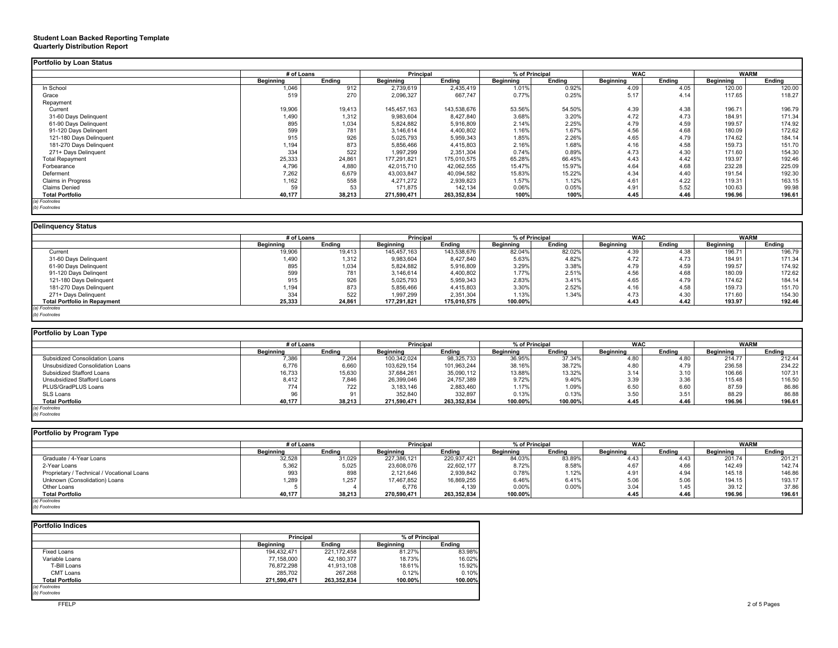#### **Student Loan Backed Reporting Template Quarterly Distribution Report**

|                           |           | # of Loans |                  | <b>Principal</b> |           | % of Principal |           | <b>WAC</b> |           | <b>WARM</b> |
|---------------------------|-----------|------------|------------------|------------------|-----------|----------------|-----------|------------|-----------|-------------|
|                           | Beginning | Endina     | <b>Beginning</b> | Endina           | Beginning | Endina         | Beginning | Endina     | Beginning | Ending      |
| In School                 | 1,046     | 912        | 2,739,619        | 2,435,419        | 1.01%     | 0.92%          | 4.09      | 4.05       | 120.00    | 120.00      |
| Grace                     | 519       | 270        | 2,096,327        | 667,747          | 0.77%     | 0.25%          | 5.17      | 4.14       | 117.65    | 118.27      |
| Repayment                 |           |            |                  |                  |           |                |           |            |           |             |
| Current                   | 19,906    | 19,413     | 145,457,163      | 143,538,676      | 53.56%    | 54.50%         | 4.39      | 4.38       | 196.71    | 196.79      |
| 31-60 Days Delinquent     | 1,490     | 1,312      | 9,983,604        | 8,427,840        | 3.68%     | 3.20%          | 4.72      | 4.73       | 184.91    | 171.34      |
| 61-90 Days Delinquent     | 895       | 1,034      | 5,824,882        | 5,916,809        | 2.14%     | 2.25%          | 4.79      | 4.59       | 199.57    | 174.92      |
| 91-120 Days Delingent     | 599       | 781        | 3,146,614        | 4,400,802        | 1.16%     | 1.67%          | 4.56      | 4.68       | 180.09    | 172.62      |
| 121-180 Days Delinquent   | 915       | 926        | 5,025,793        | 5,959,343        | 1.85%     | 2.26%          | 4.65      | 4.79       | 174.62    | 184.14      |
| 181-270 Days Delinguent   | 1,194     | 873        | 5,856,466        | 4,415,803        | 2.16%     | 1.68%          | 4.16      | 4.58       | 159.73    | 151.70      |
| 271+ Days Delinguent      | 334       | 522        | 1.997.299        | 2,351,304        | 0.74%     | 0.89%          | 4.73      | 4.30       | 171.60    | 154.30      |
| <b>Total Repayment</b>    | 25,333    | 24,861     | 177,291,821      | 175,010,575      | 65.28%    | 66.45%         | 4.43      | 4.42       | 193.97    | 192.46      |
| Forbearance               | 4,796     | 4,880      | 42,015,710       | 42,062,555       | 15.47%    | 15.97%         | 4.64      | 4.68       | 232.28    | 225.09      |
| Deferment                 | 7,262     | 6,679      | 43,003,847       | 40,094,582       | 15.83%    | 15.22%         | 4.34      | 4.40       | 191.54    | 192.30      |
| <b>Claims in Progress</b> | 1,162     | 558        | 4,271,272        | 2,939,823        | 1.57%     | 1.12%          | 4.61      | 4.22       | 119.31    | 163.15      |
| <b>Claims Denied</b>      | 59        | 53         | 171,875          | 142,134          | 0.06%     | 0.05%          | 4.91      | 5.52       | 100.63    | 99.98       |
| <b>Total Portfolio</b>    | 40,177    | 38,213     | 271,590,471      | 263,352,834      | 100%      | 100%           | 4.45      | 4.46       | 196.96    | 196.61      |

### **Delinquency Status**

|                                     | # of Loans       |        | <b>Principal</b> |             | % of Principal |        | <b>WAC</b>       |        | <b>WARM</b> |        |
|-------------------------------------|------------------|--------|------------------|-------------|----------------|--------|------------------|--------|-------------|--------|
|                                     | <b>Beginning</b> | Endina | Beginning        | Ending      | Beginning      | Endina | <b>Beainning</b> | Endina | Beginning   | Endina |
| Current                             | 19,906           | 19,413 | 145,457,163      | 143,538,676 | 82.04%         | 82.02% | 4.39             | 4.38   | 196.7'      | 196.79 |
| 31-60 Days Delinquent               | 1,490            | 1,312  | 9,983,604        | 8,427,840   | 5.63%          | 4.82%  | 4.72             | 4.73   | 184.91      | 171.34 |
| 61-90 Days Delinguent               | 895              | 1,034  | 5,824,882        | 5,916,809   | 3.29%          | 3.38%  | 4.79             | 4.59   | 199.57      | 174.92 |
| 91-120 Days Delingent               | 599              | 781    | 3,146,614        | 4,400,802   | 1.77%          | 2.51%  | 4.56             | 4.68   | 180.09      | 172.62 |
| 121-180 Days Delinquent             | 915              | 926    | 5,025,793        | 5,959,343   | 2.83%          | 3.41%  | 4.65             | 4.79   | 174.62      | 184.14 |
| 181-270 Days Delinguent             | 1,194            | 873    | 5,856,466        | 4,415,803   | 3.30%          | 2.52%  | 4.16             | 4.58   | 159.73      | 151.70 |
| 271+ Days Delinguent                | 334              | 522    | 1,997,299        | 2,351,304   | 1.13%          | 1.34%  | 4.73             | 4.30   | 171.60      | 154.30 |
| <b>Total Portfolio in Repayment</b> | 25,333           | 24,861 | 177,291,821      | 175,010,575 | 100.00%        |        | 4.43             | 4.42   | 193.97      | 192.46 |
| (a) Footnotes                       |                  |        |                  |             |                |        |                  |        |             |        |
| (b) Footnotes                       |                  |        |                  |             |                |        |                  |        |             |        |

| Portfolio by Loan Type           |            |        |                  |             |                |         |                  |        |             |        |
|----------------------------------|------------|--------|------------------|-------------|----------------|---------|------------------|--------|-------------|--------|
|                                  | # of Loans |        | Principal        |             | % of Principal |         | <b>WAC</b>       |        | <b>WARM</b> |        |
|                                  | Beginning  | Endina | <b>Beginning</b> | Endina      | Beginning      | Endina  | <b>Beginning</b> | Endina | Beginning   | Ending |
| Subsidized Consolidation Loans   | 7,386      | 7,264  | 100,342,024      | 98,325,733  | 36.95%         | 37.34%  | 4.80             | 4.OU   | 214.77      | 212.44 |
| Unsubsidized Consolidation Loans | 6,776      | 6,660  | 103,629,154      | 101,963,244 | 38.16%         | 38.72%  | 4.80             | 4.79   | 236.58      | 234.22 |
| Subsidized Stafford Loans        | 16,733     | 15,630 | 37,684,261       | 35,090,112  | 13.88%         | 13.32%  | 3.14             | 3.10   | 106.66      | 107.31 |
| Unsubsidized Stafford Loans      | 8,412      | 7,846  | 26,399,046       | 24,757,389  | 9.72%          | 9.40%   | 3.39             | 3.36   | 115.48      | 116.50 |
| PLUS/GradPLUS Loans              | 774        | 722    | 3,183,146        | 2,883,460   | 1.17%          | 1.09%   | 6.50             | 6.60   | 87.59       | 86.86  |
| SLS Loans                        |            | 91     | 352,840          | 332,897     | 0.13%          | 0.13%   | 3.50             | 3.51   | 88.29       | 86.88  |
| <b>Total Portfolio</b>           | 40,177     | 38,213 | 271,590,471      | 263,352,834 | 100.00%        | 100.00% | 4.45             | 4.46   | 196.96      | 196.61 |
| (a) Footnotes                    |            |        |                  |             |                |         |                  |        |             |        |

| (b) Footnotes |
|---------------|
|               |

| Portfolio by Program Type                  |            |        |                  |             |                |        |                  |        |             |        |
|--------------------------------------------|------------|--------|------------------|-------------|----------------|--------|------------------|--------|-------------|--------|
|                                            | # of Loans |        | <b>Principal</b> |             | % of Principal |        | <b>WAC</b>       |        | <b>WARM</b> |        |
|                                            | Beainnina  | Endina | <b>Beginning</b> | Endina      | Beainnina      | Endina | <b>Beginning</b> | Endina | Beainnina   | Endina |
| Graduate / 4-Year Loans                    | 32,528     | 31,029 | 227,386,121      | 220,937,421 | 84.03%         | 83.89% | 4.43             | 4.43   | 201.74      | 201.21 |
| 2-Year Loans                               | 5,362      | 5,025  | 23,608,076       | 22,602,177  | 8.72%          | 8.58%  | 4.67             | 4.66   | 142.49      | 142.74 |
| Proprietary / Technical / Vocational Loans | 993        | 898    | 2,121,646        | 2,939,842   | 0.78%          | 1.12%  | 4.91             | 4.94   | 145.18      | 146.86 |
| Unknown (Consolidation) Loans              | 1,289      | 1,257  | 17,467,852       | 16,869,255  | 6.46%          | 6.41%  | 5.06             | 5.06   | 194.15      | 193.17 |
| Other Loans                                |            |        | 6,776            | 4,139       | 0.00%          | 0.00%  | 3.04             | 1.45   | 39.12       | 37.86  |
| <b>Total Portfolio</b>                     | 40,177     | 38,213 | 270,590,471      | 263,352,834 | 100.00%        |        | 4.45             | 4.46   | 196.96      | 196.61 |
| (a) Footnotes                              |            |        |                  |             |                |        |                  |        |             |        |
| (b) Footnotes                              |            |        |                  |             |                |        |                  |        |             |        |

| <b>Portfolio Indices</b> |                  |             |                  |         |
|--------------------------|------------------|-------------|------------------|---------|
|                          | Principal        |             | % of Principal   |         |
|                          | <b>Beainning</b> | Endina      | <b>Beainning</b> | Endina  |
| <b>Fixed Loans</b>       | 194.432.471      | 221,172,458 | 81.27%           | 83.98%  |
| Variable Loans           | 77.158.000       | 42.180.377  | 18.73%           | 16.02%  |
| T-Bill Loans             | 76.872.298       | 41,913,108  | 18.61%           | 15.92%  |
| CMT Loans                | 285.702          | 267.268     | 0.12%            | 0.10%   |
| <b>Total Portfolio</b>   | 271,590,471      | 263,352,834 | 100.00%          | 100.00% |
| (a) Footnotes            |                  |             |                  |         |
| (b) Footnotes            |                  |             |                  |         |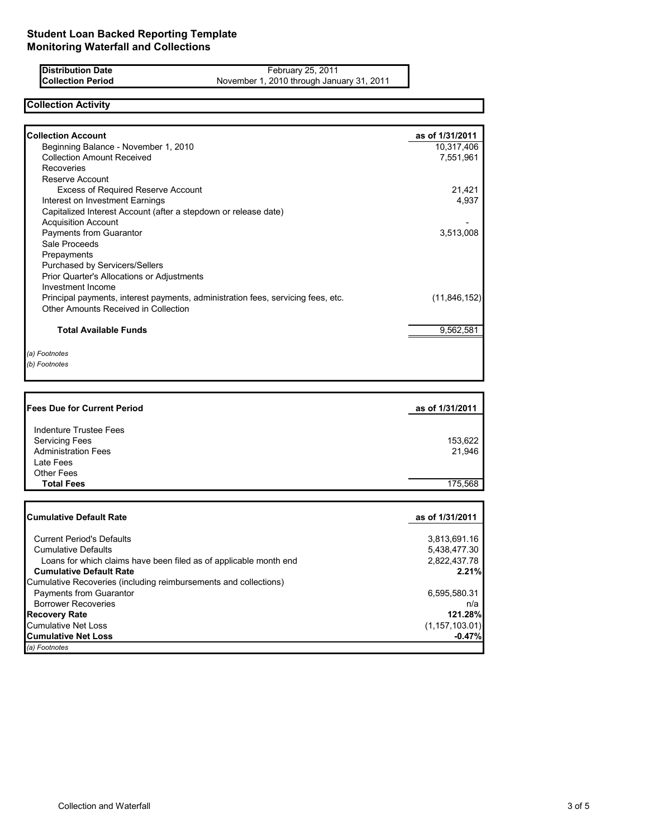**Distribution Date Collection Period**

February 25, 2011 November 1, 2010 through January 31, 2011

# **Collection Activity**

| <b>Collection Account</b>                                                        | as of 1/31/2011                      |
|----------------------------------------------------------------------------------|--------------------------------------|
| Beginning Balance - November 1, 2010                                             | 10,317,406                           |
| <b>Collection Amount Received</b>                                                | 7,551,961                            |
| Recoveries                                                                       |                                      |
| Reserve Account                                                                  |                                      |
| <b>Excess of Required Reserve Account</b>                                        | 21,421                               |
| Interest on Investment Earnings                                                  | 4,937                                |
| Capitalized Interest Account (after a stepdown or release date)                  |                                      |
| <b>Acquisition Account</b>                                                       | 3,513,008                            |
| <b>Payments from Guarantor</b><br>Sale Proceeds                                  |                                      |
| Prepayments                                                                      |                                      |
| <b>Purchased by Servicers/Sellers</b>                                            |                                      |
| Prior Quarter's Allocations or Adjustments                                       |                                      |
| Investment Income                                                                |                                      |
| Principal payments, interest payments, administration fees, servicing fees, etc. | (11, 846, 152)                       |
| Other Amounts Received in Collection                                             |                                      |
| <b>Total Available Funds</b>                                                     | 9,562,581                            |
|                                                                                  |                                      |
| (a) Footnotes                                                                    |                                      |
| (b) Footnotes                                                                    |                                      |
|                                                                                  |                                      |
|                                                                                  |                                      |
|                                                                                  |                                      |
| <b>Fees Due for Current Period</b>                                               | as of 1/31/2011                      |
|                                                                                  |                                      |
| <b>Indenture Trustee Fees</b>                                                    |                                      |
| <b>Servicing Fees</b>                                                            | 153,622                              |
| <b>Administration Fees</b><br>Late Fees                                          | 21,946                               |
| <b>Other Fees</b>                                                                |                                      |
| <b>Total Fees</b>                                                                | 175,568                              |
|                                                                                  |                                      |
| <b>Cumulative Default Rate</b>                                                   | as of 1/31/2011                      |
| <b>Current Period's Defaults</b>                                                 |                                      |
| <b>Cumulative Defaults</b>                                                       | 3,813,691.16                         |
| Loans for which claims have been filed as of applicable month end                | 5,438,477.30<br>2,822,437.78         |
| <b>Cumulative Default Rate</b>                                                   |                                      |
| Cumulative Recoveries (including reimbursements and collections)                 |                                      |
| Payments from Guarantor                                                          | 6,595,580.31                         |
| <b>Borrower Recoveries</b>                                                       | n/a                                  |
| <b>Recovery Rate</b>                                                             |                                      |
| <b>Cumulative Net Loss</b>                                                       | 2.21%<br>121.28%<br>(1, 157, 103.01) |

**Cumulative Net Loss** 

*(a) Footnotes*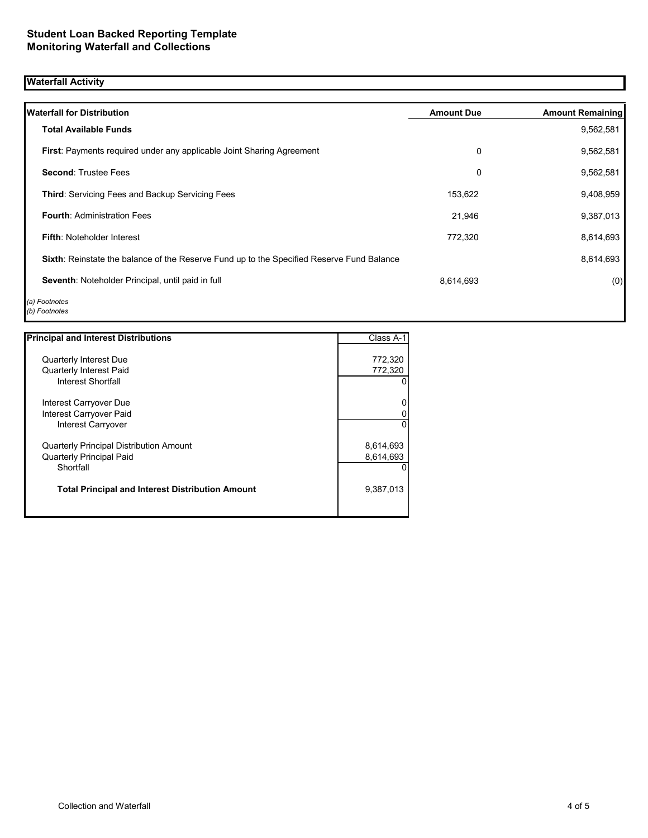# **Waterfall Activity**

| <b>Waterfall for Distribution</b>                                                         | <b>Amount Due</b> | <b>Amount Remaining</b> |
|-------------------------------------------------------------------------------------------|-------------------|-------------------------|
| <b>Total Available Funds</b>                                                              |                   | 9,562,581               |
| <b>First:</b> Payments required under any applicable Joint Sharing Agreement              | 0                 | 9,562,581               |
| <b>Second: Trustee Fees</b>                                                               | 0                 | 9,562,581               |
| <b>Third:</b> Servicing Fees and Backup Servicing Fees                                    | 153,622           | 9,408,959               |
| <b>Fourth: Administration Fees</b>                                                        | 21,946            | 9,387,013               |
| <b>Fifth: Noteholder Interest</b>                                                         | 772,320           | 8,614,693               |
| Sixth: Reinstate the balance of the Reserve Fund up to the Specified Reserve Fund Balance |                   | 8,614,693               |
| Seventh: Noteholder Principal, until paid in full                                         | 8,614,693         | (0)                     |
| (a) Footnotes<br>(b) Footnotes                                                            |                   |                         |

| <b>Principal and Interest Distributions</b>             | Class A-1 |
|---------------------------------------------------------|-----------|
| Quarterly Interest Due                                  | 772,320   |
| <b>Quarterly Interest Paid</b>                          | 772,320   |
| Interest Shortfall                                      |           |
| Interest Carryover Due                                  |           |
| Interest Carryover Paid                                 |           |
| <b>Interest Carryover</b>                               |           |
| <b>Quarterly Principal Distribution Amount</b>          | 8,614,693 |
| Quarterly Principal Paid                                | 8,614,693 |
| Shortfall                                               |           |
| <b>Total Principal and Interest Distribution Amount</b> | 9,387,013 |
|                                                         |           |